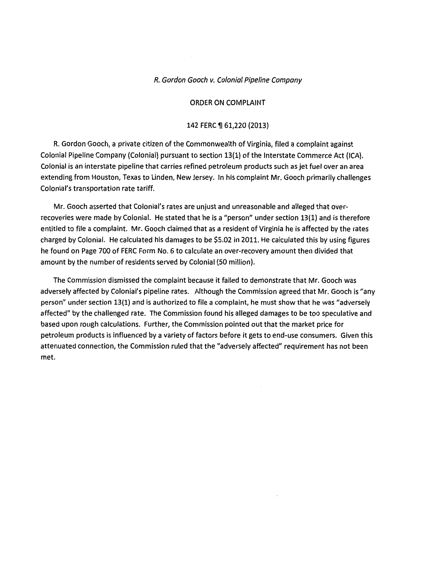#### R. Gordon Gooch v. Colonial Pipeline Company

#### ORDER ON COMPLAINT

#### 142 FERC ¶ 61,220 (2013)

R. Gordon Gooch, a private citizen of the Commonwealth of Virginia, filed a complaint against Colonial Pipeline Company (Colonial) pursuant to section 13(1) of the Interstate Commerce Act (ICA). Colonial is an interstate pipeline that carries refined petroleum products such as jet fuel over an area extending from Houston, Texas to Linden, New Jersey. In his complaint Mr. Gooch primarily challenges Colonial's transportation rate tariff.

Mr. Gooch asserted that Colonial's rates are unjust and unreasonable and alleged that overrecoveries were made by Colonial. He stated that he is a "person" under section 13(1) and is therefore entitled to file a complaint. Mr. Gooch claimed that as a resident of Virginia he is affected by the rates charged by Colonial. He calculated his damages to be \$5.02 in 2011. He calculated this by using figures he found on Page 700 of FERC Form No. 6 to calculate an over-recovery amount then divided that amount by the number of residents served by Colonial (SO million).

The Commission dismissed the complaint because it failed to demonstrate that Mr. Gooch was adversely affected by Colonial's pipeline rates. Although the Commission agreed that Mr. Gooch is "any person" under section 13{1) and is authorized to file a complaint, he must show that he was "adversely affected" by the challenged rate. The Commission found his alleged damages to be too speculative and based upon rough calculations. Further, the Commission pointed out that the market price for petroleum products is influenced by a variety of factors before it gets to end-use consumers. Given this attenuated connection, the Commission ruled that the "adversely affected" requirement has not been met.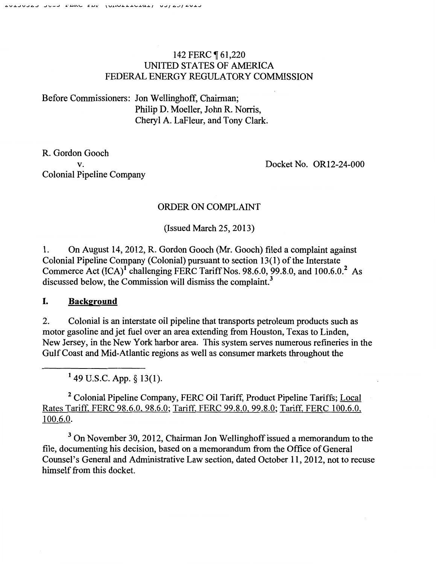# 142 FERC **[61,220** UNITED STATES OF AMERICA FEDERAL ENERGY REGULATORY COMMISSION

Before Commissioners: Jon Wellinghoff, Chairman; Philip D. Moeller, John R. Norris, Cheryl A. LaFleur, and Tony Clark.

R. Gordon Gooch v. Colonial Pipeline Company

Docket No. OR12-24-000

# ORDER ON COMPLAINT

(Issued March 25, 2013)

1. On August 14,2012, R. Gordon Gooch (Mr. Gooch) filed a complaint against Colonial Pipeline Company (Colonial) pursuant to section 13(1) of the Interstate Commerce Act  $(ICA)^T$  challenging FERC Tariff Nos. 98.6.0, 99.8.0, and 100.6.0.<sup>2</sup> As discussed below, the Commission will dismiss the complaint.<sup>3</sup>

## I. **Background**

2. Colonial is an interstate oil pipeline that transports petroleum products such as motor gasoline and jet fuel over an area extending from Houston, Texas to Linden, New Jersey, in the New York harbor area. This system serves numerous refineries in the Gulf Coast and Mid-Atlantic regions as well as consumer markets throughout the

<sup>1</sup> 49 U.S.C. App. § 13(1).

<sup>2</sup> Colonial Pipeline Company, FERC Oil Tariff, Product Pipeline Tariffs; Local Rates Tariff. FERC 98.6.0. 98.6.0; Tariff. FERC 99.8.0, 99.8.0; Tariff, FERC 100.6.0. 100.6.0.

<sup>3</sup> On November 30, 2012, Chairman Jon Wellinghoff issued a memorandum to the file, documenting his decision, based on a memorandum from the Office of General Counsel's General and Administrative Law section, dated October 11, 2012, not to recuse himself from this docket.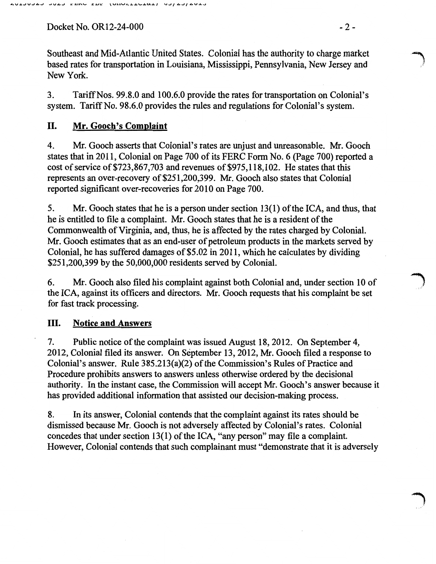Docket No. OR12-24-000 - 2 -

Southeast and Mid-Atlantic United States. Colonial has the authority to charge market l based rates for transportation in Louisiana, Mississippi, Pennsylvania, New Jersey and New York.

3. TariffNos. 99.8.0 and 100.6.0 provide the rates for transportation on Colonial's system. Tariff No. 98.6.0 provides the rules and regulations for Colonial's system.

# II. Mr. Gooch's Complaint

4. Mr. Gooch asserts that Colonial's rates are unjust and unreasonable. Mr. Gooch states that in 2011, Colonial on Page 700 of its FERC Form No. 6 (Page 700) reported a cost of service of \$723,867,703 and revenues of \$975,118,102. He states that this represents an over-recovery of \$251,200,399. Mr. Gooch also states that Colonial reported significant over-recoveries for 2010 on Page 700.

5. Mr. Gooch states that he is a person under section 13(1) of the ICA, and thus, that he is entitled to file a complaint. Mr. Gooch states that he is a resident of the Commonwealth of Virginia, and, thus, he is affected by the rates charged by Colonial. Mr. Gooch estimates that as an end-user of petroleum products in the markets served by Colonial, he has suffered damages of\$5.02 in 2011, which he calculates by dividing \$251,200,399 by the 50,000,000 residents served by Colonial.

6. Mr. Gooch also filed his complaint against both Colonial and, under section 10 of the ICA, against its officers and directors. Mr. Gooch requests that his complaint be set for fast track processing.

## III. Notice and Answers

7. Public notice of the complaint was issued August 18,2012. On September 4, 2012, Colonial filed its answer. On September 13,2012, Mr. Gooch filed a response to Colonial's answer. Rule 385.213(a)(2) of the Commission's Rules of Practice and Procedure prohibits answers to answers unless otherwise ordered by the decisional authority. In the instant case, the Commission will accept Mr. Gooch's answer because it has provided additional information that assisted our decision-making process.

8. In its answer, Colonial contends that the complaint against its rates should be dismissed because Mr. Gooch is not adversely affected by Colonial's rates. Colonial concedes that under section 13(1) of the ICA, "any person" may file a complaint. However, Colonial contends that such complainant must "demonstrate that it is adversely **} //**<br>|<br>|-<br>|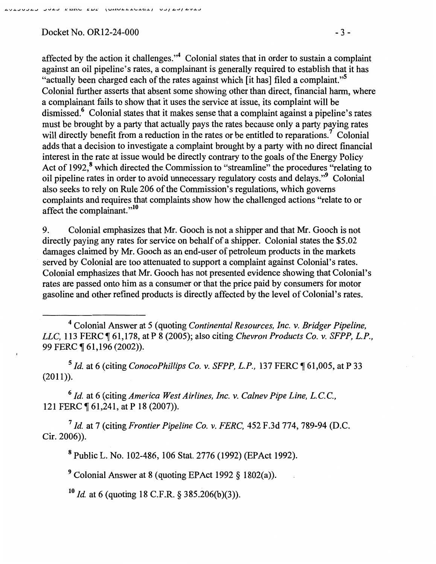### Docket No. OR12-24-000 - 3 -

affected by the action it challenges."<sup>4</sup> Colonial states that in order to sustain a complaint against an oil pipeline's rates, a complainant is generally required to establish that it has "actually been charged each of the rates against which [it has] filed a complaint."5 Colonial further asserts that absent some showing other than direct, financial harm, where a complainant fails to show that it uses the service at issue, its complaint will be dismissed.<sup>6</sup> Colonial states that it makes sense that a complaint against a pipeline's rates must be brought by a party that actually pays the rates because only a party paying rates will directly benefit from a reduction in the rates or be entitled to reparations.<sup>7</sup> Colonial adds that a decision to investigate a complaint brought by a party with no direct financial interest in the rate at issue would be directly contrary to the goals of the Energy Policy Act of 1992,<sup>8</sup> which directed the Commission to "streamline" the procedures "relating to oil pipeline rates in order to avoid unnecessary regulatory costs and delays. "9 Colonial also seeks to rely on Rule 206 of the Commission's regulations, which governs complaints and requires that complaints show how the challenged actions "relate to or affect the complainant."<sup>10</sup>

9. Colonial emphasizes that Mr. Gooch is not a shipper and that Mr. Gooch is not directly paying any rates for service on behalf of a shipper. Colonial states the \$5.02 damages claimed by Mr. Gooch as an end-user of petroleum products in the markets served by Colonial are too attenuated to support a complaint against Colonial's rates. Colonial emphasizes that Mr. Gooch has not presented evidence showing that Colonial's rates are passed onto him as a consumer or that the price paid by consumers for motor gasoline and other refined products is directly affected by the level of Colonial's rates.

4 Colonial Answer at *5* (quoting *Continental Resources, Inc. v. Bridger Pipeline, LLC,* 113 FERC ¶ 61,178, at P 8 (2005); also citing *Chevron Products Co. v. SFPP, L.P.*, 99 FERC  $\P$  61,196 (2002)).

<sup>5</sup> *Id.* at 6 (citing *ConocoPhillips Co. v. SFPP, L.P.,* 137 FERC ¶ 61,005, at P 33 (2011)).

6 *Id.* at 6 (citing *America West Airlines, Inc. v. Calnev Pipe Line, L.C.C.,*  121 FERC ¶ 61,241, at P 18 (2007)).

7 *Id.* at 7 (citing *Frontier Pipeline Co. v. FERC,* 452 F.3d 774, 789-94 (D.C. Cir. 2006)).

8 Public L. No. 102-486, 106 Stat. 2776 (1992) (EPAct 1992).

9 Colonial Answer at 8 (quoting EPAct 1992 § 1802(a)).

 $10$  *Id.* at 6 (quoting 18 C.F.R. § 385.206(b)(3)).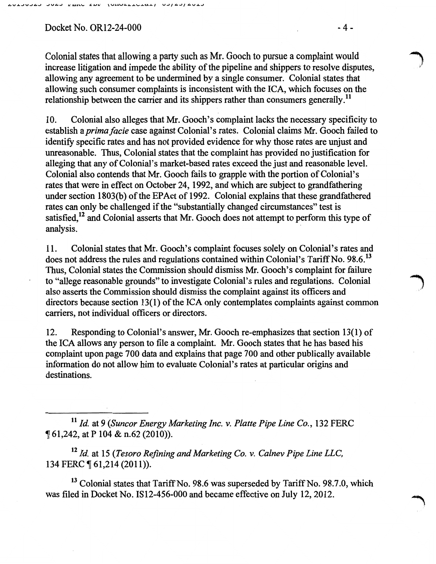### Docket No. OR12-24-000 - 4 -

Colonial states that allowing a party such as Mr. Gooch to pursue a complaint would<br>increase litigation and impede the ability of the pipeline and shippers to resolve disputes, allowing any agreement to be undermined by a single consumer. Colonial states that allowing such consumer complaints is inconsistent with the ICA, which focuses on the relationship between the carrier and its shippers rather than consumers generally.<sup>11</sup>

10. Colonial also alleges that Mr. Gooch's complaint lacks the necessary specificity to establish a *prima facie* case against Colonial's rates. Colonial claims Mr. Gooch failed to identify specific rates and has not provided evidence for why those rates are unjust and unreasonable. Thus, Colonial states that the complaint has provided no justification for alleging that any of Colonial's market-based rates exceed the just and reasonable level. Colonial also contends that Mr. Gooch fails to grapple with the portion of Colonial's rates that were in effect on October 24, 1992, and which are subject to grandfathering under section 1803(b) of the EPAct of 1992. Colonial explains that these grandfathered rates can only be challenged if the "substantially changed circumstances" test is satisfied,<sup>12</sup> and Colonial asserts that Mr. Gooch does not attempt to perform this type of analysis.

11. Colonial states that Mr. Gooch's complaint focuses solely on Colonial's rates and does not address the rules and regulations contained within Colonial's Tariff No. 98.6.<sup>13</sup> Thus, Colonial states the Commission should dismiss Mr. Gooch's complaint for failure to "allege reasonable grounds" to investigate Colonial's rules and regulations. Colonial also asserts the Commission should dismiss the complaint against its officers and directors because section 13(1) of the ICA only contemplates complaints against common carriers, not individual officers or directors.

12. Responding to Colonial's answer, Mr. Gooch re-emphasizes that section 13(1) of the ICA allows any person to file a complaint. Mr. Gooch states that he has based his complaint upon page 700 data and explains that page 700 and other publically available information do not allow him to evaluate Colonial's rates at particular origins and destinations.

<sup>11</sup>*ld.* at 9 *(Suncor Energy Marketing Inc.* v. *Platte Pipe Line Co.,* 132 FERC <sup>~</sup>61,242, at P 104 & n.62 (2010)).

<sup>12</sup>*ld.* at 15 *(Tesoro Refining and Marketing Co.* v. *Calnev Pipe Line LLC,*  134 FERC ¶ 61,214 (2011)).

<sup>13</sup> Colonial states that Tariff No. 98.6 was superseded by Tariff No. 98.7.0, which was filed in Docket No. 1812-456-000 and became effective on July 12,2012.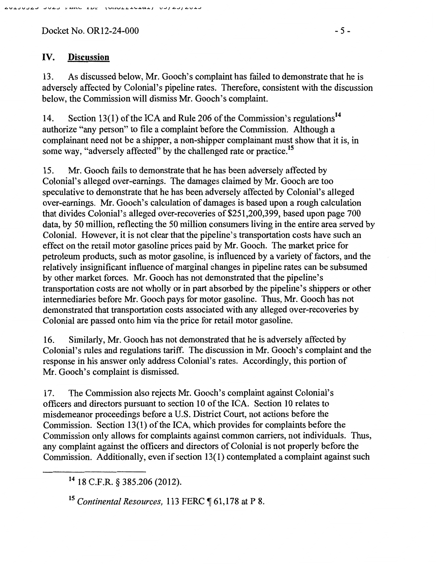$Docket No. OR12-24-000$  - 5 -

## IV. **Discussion**

13. As discussed below, Mr. Gooch's complaint has failed to demonstrate that he is adversely affected by Colonial's pipeline rates. Therefore, consistent with the discussion below, the Commission will dismiss Mr. Gooch's complaint.

14. Section 13(1) of the ICA and Rule 206 of the Commission's regulations<sup>14</sup> authorize "any person" to file a complaint before the Commission. Although a complainant need not be a shipper, a non-shipper complainant must show that it is, in some way, "adversely affected" by the challenged rate or practice.<sup>15</sup>

15. Mr. Gooch fails to demonstrate that he has been adversely affected by Colonial's alleged over-earnings. The damages claimed by Mr. Gooch are too speculative to demonstrate that he has been adversely affected by Colonial's alleged over-earnings. Mr. Gooch's calculation of damages is based upon a rough calculation that divides Colonial's alleged over-recoveries of \$251,200,399, based upon page 700 data, by 50 million, reflecting the 50 million consumers living in the entire area served by Colonial. However, it is not clear that the pipeline's transportation costs have such an effect on the retail motor gasoline prices paid by Mr. Gooch. The market price for petroleum products, such as motor gasoline, is influenced by a variety of factors, and the relatively insignificant influence of marginal changes in pipeline rates can be subsumed by other market forces. Mr. Gooch has not demonstrated that the pipeline's transportation costs are not wholly or in part absorbed by the pipeline's shippers or other intermediaries before Mr. Gooch pays for motor gasoline. Thus, Mr. Gooch has not demonstrated that transportation costs associated with any alleged over-recoveries by Colonial are passed onto him via the price for retail motor gasoline.

16. Similarly, Mr. Gooch has not demonstrated that he is adversely affected by Colonial's rules and regulations tariff. The discussion in Mr. Gooch's complaint and the response in his answer only address Colonial's rates. Accordingly, this portion of Mr. Gooch's complaint is dismissed.

17. The Commission also rejects Mr. Gooch's complaint against Colonial's officers and directors pursuant to section 10 of the ICA. Section 10 relates to misdemeanor proceedings before a U.S. District Court, not actions before the Commission. Section 13(1) of the ICA, which provides for complaints before the Commission only allows for complaints against common carriers, not individuals. Thus, any complaint against the officers and directors of Colonial is not properly before the Commission. Additionally, even if section 13(1) contemplated a complaint against such

14 18 C.F.R. § 385.206 (2012).

<sup>15</sup> Continental Resources, 113 FERC ¶ 61,178 at P 8.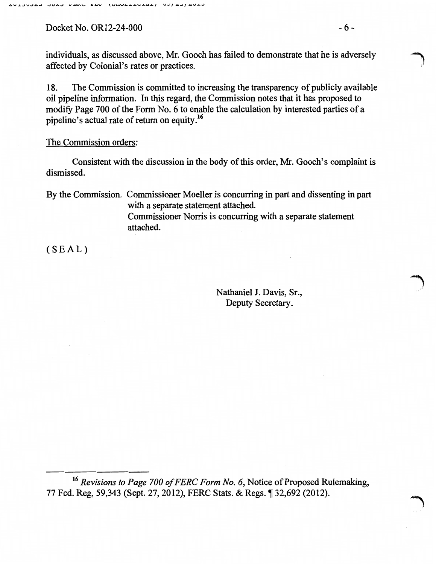Docket No. OR12-24-000 - 6 -

18. The Commission is committed to increasing the transparency of publicly available oil pipeline information. In this regard, the Commission notes that it has proposed to modify Page 700 of the Form No. 6 to enable the calculation by interested parties of a pipeline's actual rate of return on equity *}*<sup>6</sup>

### The Commission orders:

Consistent with the discussion in the body of this order, Mr. Gooch's complaint is dismissed.

By the Commission. Commissioner Moeller is concurring in part and dissenting in part with a separate statement attached. Commissioner Norris is concurring with a separate statement attached.

(SEAL)

Nathaniel J. Davis, Sr., Deputy Secretary.

)

<sup>16</sup>*Revisions to Page 700 of FERC Form No. 6,* Notice of Proposed Rulemaking, 77 Fed. Reg, 59,343 (Sept. 27, 2012), FERC Stats. & Regs. ¶ 32,692 (2012).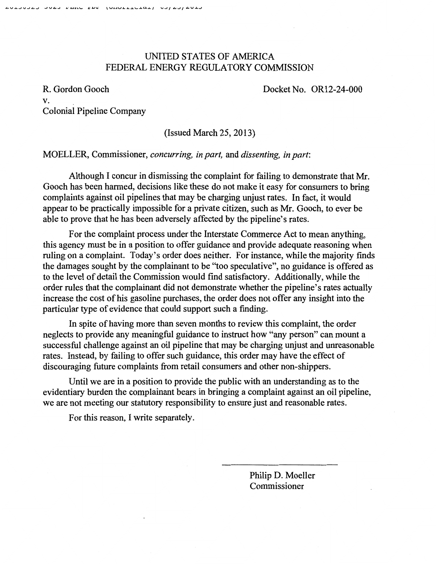# UNITED STATES OF AMERICA FEDERAL ENERGY REGULATORY COMMISSION

R. Gordon Gooch v. Colonial Pipeline Company Docket No. OR12-24-000

(Issued March 25, 2013)

### MOELLER, Commissioner, *concurring, in part,* and *dissenting, in part:*

Although I concur in dismissing the complaint for failing to demonstrate that Mr. Gooch has been harmed, decisions like these do not make it easy for consumers to bring complaints against oil pipelines that may be charging unjust rates. In fact, it would appear to be practically impossible for a private citizen, such as Mr. Gooch, to ever be able to prove that he has been adversely affected by the pipeline's rates.

For the complaint process under the Interstate Commerce Act to mean anything, this agency must be in a position to offer guidance and provide adequate reasoning when ruling on a complaint. Today's order does neither. For instance, while the majority finds the damages sought by the complainant to be "too speculative", no guidance is offered as to the level of detail the Commission would find satisfactory. Additionally, while the order rules that the complainant did not demonstrate whether the pipeline's rates actually increase the cost of his gasoline purchases, the order does not offer any insight into the particular type of evidence that could support such a finding.

In spite of having more than seven months to review this complaint, the order neglects to provide any meaningful guidance to instruct how "any person" can mount a successful challenge against an oil pipeline that may be charging unjust and unreasonable rates. Instead, by failing to offer such guidance, this order may have the effect of discouraging future complaints from retail consumers and other non-shippers.

Until we are in a position to provide the public with an understanding as to the evidentiary burden the complainant bears in bringing a complaint against an oil pipeline, we are not meeting our statutory responsibility to ensure just and reasonable rates.

For this reason, I write separately.

Philip D. Moeller Commissioner